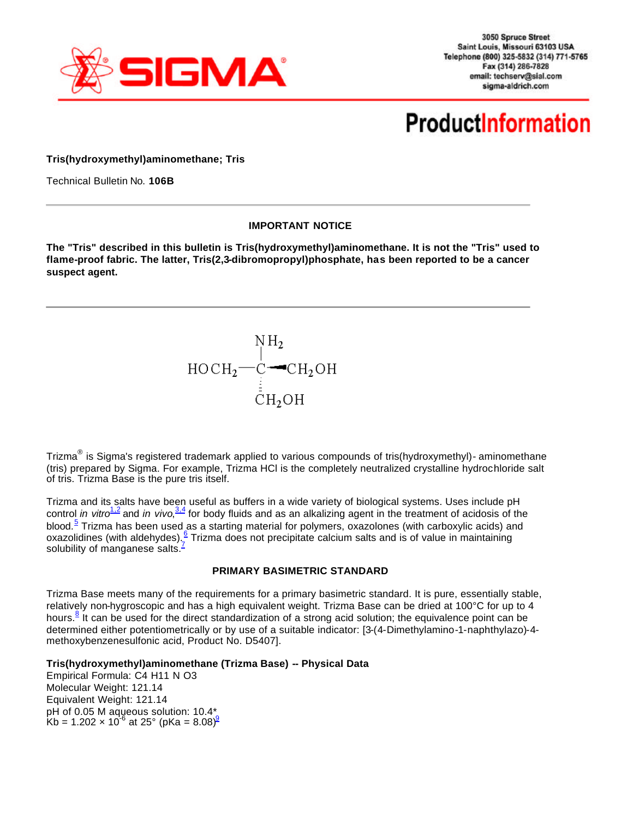

3050 Spruce Street Saint Louis, Missouri 63103 USA Telephone (800) 325-5832 (314) 771-5765 Fax (314) 286-7828 email: techserv@sial.com sigma-aldrich.com

# **ProductInformation**

**Tris(hydroxymethyl)aminomethane; Tris**

Technical Bulletin No. **106B**

#### **IMPORTANT NOTICE**

**The "Tris" described in this bulletin is Tris(hydroxymethyl)aminomethane. It is not the "Tris" used to flame-proof fabric. The latter, Tris(2,3-dibromopropyl)phosphate, has been reported to be a cancer suspect agent.**



Trizma<sup>®</sup> is Sigma's registered trademark applied to various compounds of tris(hydroxymethyl)- aminomethane (tris) prepared by Sigma. For example, Trizma HCl is the completely neutralized crystalline hydrochloride salt of tris. Trizma Base is the pure tris itself.

Trizma and its salts have been useful as buffers in a wide variety of biological systems. Uses include pH control *in vitro<sup>1,2</sup>* and *in vivo*,<sup>3,4</sup> for body fluids and as an alkalizing agent in the treatment of acidosis of the blood.<sup>5</sup> Trizma has been used as a starting material for polymers, oxazolones (with carboxylic acids) and oxazolidines (with aldehydes). <sup>6</sup> Trizma does not precipitate calcium salts and is of value in maintaining solubility of manganese salts. $\frac{1}{2}$ 

#### **PRIMARY BASIMETRIC STANDARD**

Trizma Base meets many of the requirements for a primary basimetric standard. It is pure, essentially stable, relatively non-hygroscopic and has a high equivalent weight. Trizma Base can be dried at 100°C for up to 4 hours.<sup>8</sup> It can be used for the direct standardization of a strong acid solution; the equivalence point can be determined either potentiometrically or by use of a suitable indicator: [3-(4-Dimethylamino-1-naphthylazo)-4 methoxybenzenesulfonic acid, Product No. D5407].

#### **Tris(hydroxymethyl)aminomethane (Trizma Base) -- Physical Data**

Empirical Formula: C4 H11 N O3 Molecular Weight: 121.14 Equivalent Weight: 121.14 pH of 0.05 M aqueous solution: 10.4\* Kb = 1.202  $\times$  10<sup>-6</sup> at 25° (pKa = 8.08)<sup>9</sup>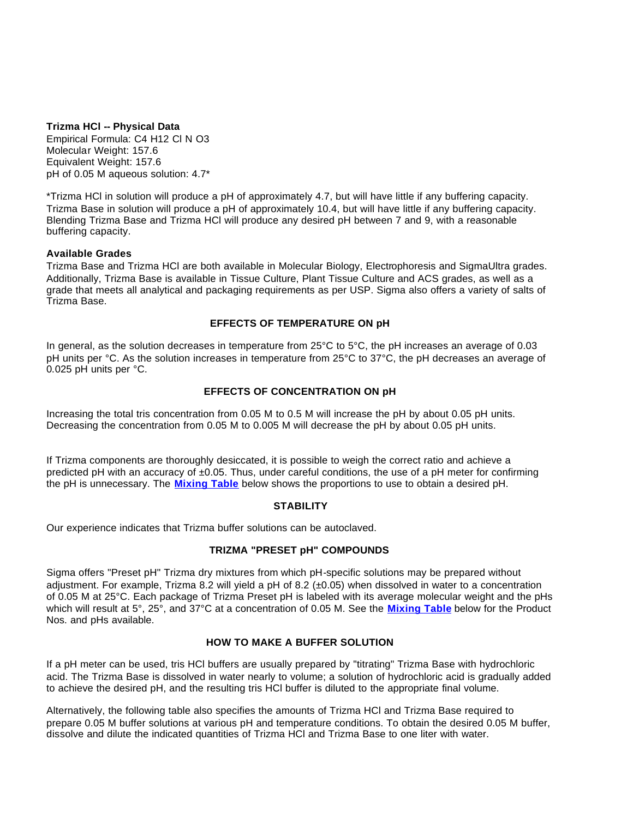**Trizma HCl -- Physical Data**

Empirical Formula: C4 H12 Cl N O3 Molecular Weight: 157.6 Equivalent Weight: 157.6 pH of 0.05 M aqueous solution: 4.7\*

\*Trizma HCl in solution will produce a pH of approximately 4.7, but will have little if any buffering capacity. Trizma Base in solution will produce a pH of approximately 10.4, but will have little if any buffering capacity. Blending Trizma Base and Trizma HCl will produce any desired pH between 7 and 9, with a reasonable buffering capacity.

#### **Available Grades**

Trizma Base and Trizma HCl are both available in Molecular Biology, Electrophoresis and SigmaUltra grades. Additionally, Trizma Base is available in Tissue Culture, Plant Tissue Culture and ACS grades, as well as a grade that meets all analytical and packaging requirements as per USP. Sigma also offers a variety of salts of Trizma Base.

## **EFFECTS OF TEMPERATURE ON pH**

In general, as the solution decreases in temperature from 25°C to 5°C, the pH increases an average of 0.03 pH units per °C. As the solution increases in temperature from 25°C to 37°C, the pH decreases an average of 0.025 pH units per °C.

## **EFFECTS OF CONCENTRATION ON pH**

Increasing the total tris concentration from 0.05 M to 0.5 M will increase the pH by about 0.05 pH units. Decreasing the concentration from 0.05 M to 0.005 M will decrease the pH by about 0.05 pH units.

If Trizma components are thoroughly desiccated, it is possible to weigh the correct ratio and achieve a predicted pH with an accuracy of  $\pm 0.05$ . Thus, under careful conditions, the use of a pH meter for confirming the pH is unnecessary. The **Mixing Table** below shows the proportions to use to obtain a desired pH.

#### **STABILITY**

Our experience indicates that Trizma buffer solutions can be autoclaved.

## **TRIZMA "PRESET pH" COMPOUNDS**

Sigma offers "Preset pH" Trizma dry mixtures from which pH-specific solutions may be prepared without adjustment. For example, Trizma 8.2 will yield a pH of 8.2 (±0.05) when dissolved in water to a concentration of 0.05 M at 25°C. Each package of Trizma Preset pH is labeled with its average molecular weight and the pHs which will result at 5°, 25°, and 37°C at a concentration of 0.05 M. See the **Mixing Table** below for the Product Nos. and pHs available.

### **HOW TO MAKE A BUFFER SOLUTION**

If a pH meter can be used, tris HCl buffers are usually prepared by "titrating" Trizma Base with hydrochloric acid. The Trizma Base is dissolved in water nearly to volume; a solution of hydrochloric acid is gradually added to achieve the desired pH, and the resulting tris HCl buffer is diluted to the appropriate final volume.

Alternatively, the following table also specifies the amounts of Trizma HCl and Trizma Base required to prepare 0.05 M buffer solutions at various pH and temperature conditions. To obtain the desired 0.05 M buffer, dissolve and dilute the indicated quantities of Trizma HCl and Trizma Base to one liter with water.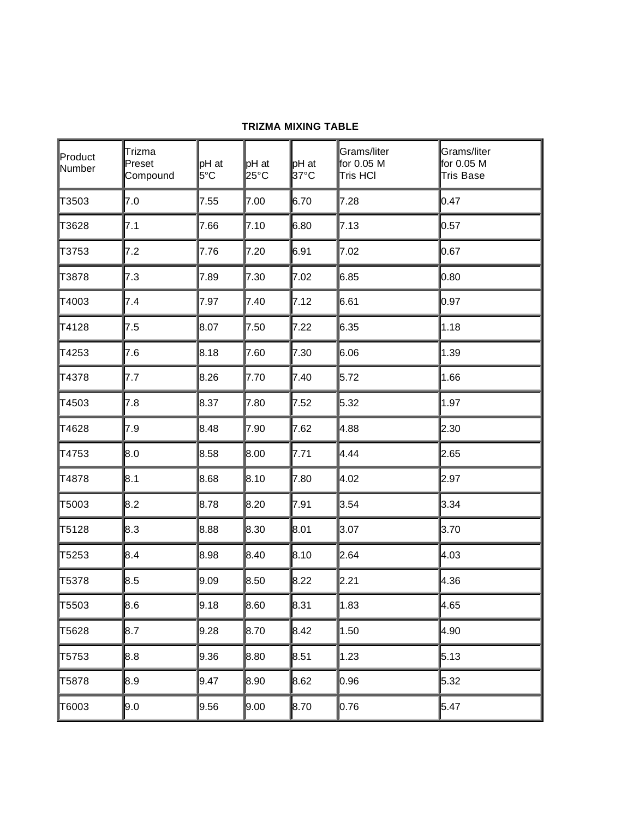## **TRIZMA MIXING TABLE**

| Product<br>Number | Trizma<br>Preset<br>Compound | pH at<br>5°C | $\mathsf{p}$ H at<br>25°C | $pH$ at<br>37°C | Grams/liter<br>for 0.05 M<br><b>Tris HCI</b> | Grams/liter<br>for 0.05 M<br><b>Tris Base</b> |
|-------------------|------------------------------|--------------|---------------------------|-----------------|----------------------------------------------|-----------------------------------------------|
| T3503             | 7.0                          | 7.55         | 7.00                      | 6.70            | 7.28                                         | 0.47                                          |
| T3628             | 7.1                          | 7.66         | 7.10                      | 6.80            | 7.13                                         | 0.57                                          |
| T3753             | 7.2                          | 7.76         | 7.20                      | 6.91            | 7.02                                         | 0.67                                          |
| T3878             | 7.3                          | 7.89         | 7.30                      | 7.02            | 6.85                                         | 0.80                                          |
| T4003             | 7.4                          | 7.97         | 7.40                      | 7.12            | 6.61                                         | 0.97                                          |
| T4128             | 7.5                          | 8.07         | 7.50                      | 7.22            | 6.35                                         | 1.18                                          |
| T4253             | 7.6                          | 8.18         | 7.60                      | 7.30            | 6.06                                         | 1.39                                          |
| T4378             | 7.7                          | 8.26         | 7.70                      | 7.40            | 5.72                                         | 1.66                                          |
| T4503             | 7.8                          | 8.37         | 7.80                      | 7.52            | 5.32                                         | 1.97                                          |
| T4628             | 7.9                          | 8.48         | 7.90                      | 7.62            | 4.88                                         | 2.30                                          |
| T4753             | 8.0                          | 8.58         | 8.00                      | 7.71            | 4.44                                         | 2.65                                          |
| T4878             | 8.1                          | 8.68         | 8.10                      | 7.80            | 4.02                                         | 2.97                                          |
| T5003             | 8.2                          | 8.78         | 8.20                      | 7.91            | 3.54                                         | 3.34                                          |
| T5128             | 8.3                          | 8.88         | 8.30                      | 8.01            | 3.07                                         | 3.70                                          |
| T5253             | 8.4                          | 8.98         | 8.40                      | 8.10            | 2.64                                         | 4.03                                          |
| T5378             | 8.5                          | 9.09         | 8.50                      | 8.22            | 2.21                                         | 4.36                                          |
| T5503             | 8.6                          | 9.18         | ∥8.60                     | l8.31           | 1.83                                         | ∥4.65                                         |
| T5628             | 8.7                          | 9.28         | 8.70                      | 8.42            | 1.50                                         | 4.90                                          |
| T5753             | 8.8                          | 9.36         | 8.80                      | 8.51            | 1.23                                         | 5.13                                          |
| T5878             | 8.9                          | 9.47         | 8.90                      | 8.62            | 0.96                                         | 5.32                                          |
| T6003             | 9.0                          | 9.56         | 9.00                      | 8.70            | 0.76                                         | 5.47                                          |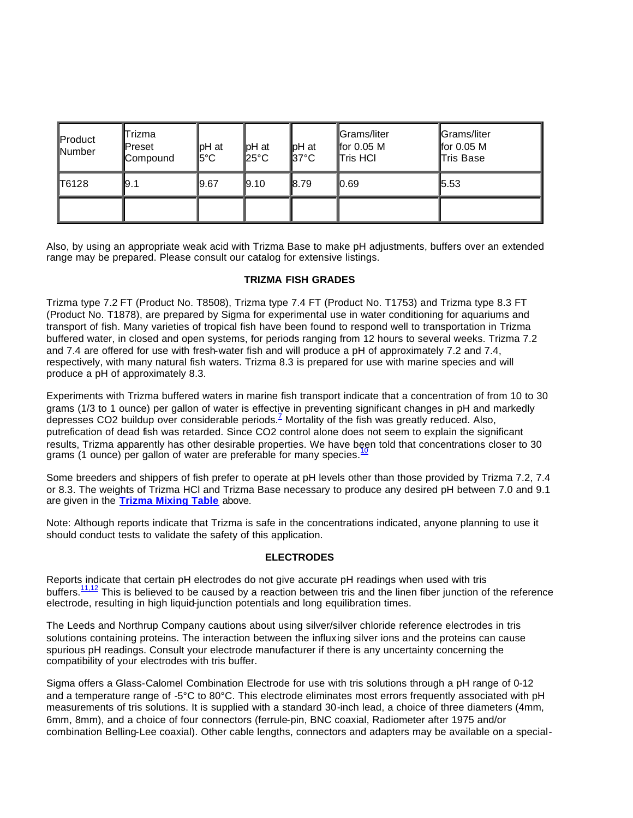| Product<br>Number | Trizma<br><b>I</b> Preset<br>Compound | llpH at<br>l5°C | ∥pH at<br>$25^{\circ}$ C | pH at<br>$\parallel$ 37°C | <b></b> Grams/liter<br>for $0.05$ M<br>Tris HCI | Grams/liter<br>for $0.05$ M<br>∏ris Base |
|-------------------|---------------------------------------|-----------------|--------------------------|---------------------------|-------------------------------------------------|------------------------------------------|
| <b>T6128</b>      | l9.1                                  | 19.67           | $\vert 9.10 \vert$       | 18.79                     | I 0.69                                          | 5.53                                     |
|                   |                                       |                 |                          |                           |                                                 |                                          |

Also, by using an appropriate weak acid with Trizma Base to make pH adjustments, buffers over an extended range may be prepared. Please consult our catalog for extensive listings.

### **TRIZMA FISH GRADES**

Trizma type 7.2 FT (Product No. T8508), Trizma type 7.4 FT (Product No. T1753) and Trizma type 8.3 FT (Product No. T1878), are prepared by Sigma for experimental use in water conditioning for aquariums and transport of fish. Many varieties of tropical fish have been found to respond well to transportation in Trizma buffered water, in closed and open systems, for periods ranging from 12 hours to several weeks. Trizma 7.2 and 7.4 are offered for use with fresh-water fish and will produce a pH of approximately 7.2 and 7.4, respectively, with many natural fish waters. Trizma 8.3 is prepared for use with marine species and will produce a pH of approximately 8.3.

Experiments with Trizma buffered waters in marine fish transport indicate that a concentration of from 10 to 30 grams (1/3 to 1 ounce) per gallon of water is effective in preventing significant changes in pH and markedly depresses CO2 buildup over considerable periods.<sup>7</sup> Mortality of the fish was greatly reduced. Also, putrefication of dead fish was retarded. Since CO2 control alone does not seem to explain the significant results, Trizma apparently has other desirable properties. We have been told that concentrations closer to 30 grams (1 ounce) per gallon of water are preferable for many species.<sup>10</sup>

Some breeders and shippers of fish prefer to operate at pH levels other than those provided by Trizma 7.2, 7.4 or 8.3. The weights of Trizma HCl and Trizma Base necessary to produce any desired pH between 7.0 and 9.1 are given in the **Trizma Mixing Table** above.

Note: Although reports indicate that Trizma is safe in the concentrations indicated, anyone planning to use it should conduct tests to validate the safety of this application.

#### **ELECTRODES**

Reports indicate that certain pH electrodes do not give accurate pH readings when used with tris buffers.<sup>11,12</sup> This is believed to be caused by a reaction between tris and the linen fiber junction of the reference electrode, resulting in high liquid-junction potentials and long equilibration times.

The Leeds and Northrup Company cautions about using silver/silver chloride reference electrodes in tris solutions containing proteins. The interaction between the influxing silver ions and the proteins can cause spurious pH readings. Consult your electrode manufacturer if there is any uncertainty concerning the compatibility of your electrodes with tris buffer.

Sigma offers a Glass-Calomel Combination Electrode for use with tris solutions through a pH range of 0-12 and a temperature range of -5°C to 80°C. This electrode eliminates most errors frequently associated with pH measurements of tris solutions. It is supplied with a standard 30-inch lead, a choice of three diameters (4mm, 6mm, 8mm), and a choice of four connectors (ferrule-pin, BNC coaxial, Radiometer after 1975 and/or combination Belling-Lee coaxial). Other cable lengths, connectors and adapters may be available on a special